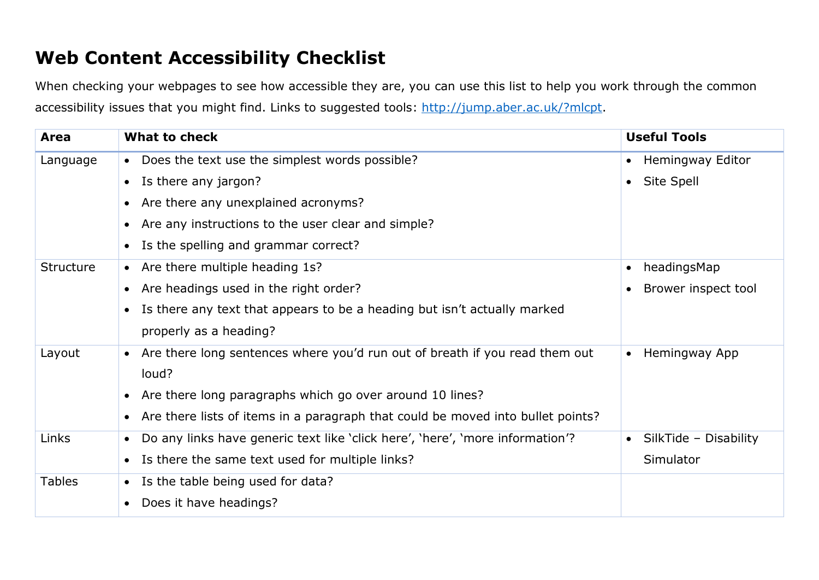## **Web Content Accessibility Checklist**

When checking your webpages to see how accessible they are, you can use this list to help you work through the common accessibility issues that you might find. Links to suggested tools: [http://jump.aber.ac.uk/?mlcpt.](http://jump.aber.ac.uk/?mlcpt)

| Area          | What to check                                                                              | <b>Useful Tools</b>                |
|---------------|--------------------------------------------------------------------------------------------|------------------------------------|
| Language      | • Does the text use the simplest words possible?                                           | Hemingway Editor<br>$\bullet$      |
|               | • Is there any jargon?                                                                     | Site Spell<br>$\bullet$            |
|               | Are there any unexplained acronyms?<br>$\bullet$                                           |                                    |
|               | Are any instructions to the user clear and simple?<br>$\bullet$                            |                                    |
|               | Is the spelling and grammar correct?<br>$\bullet$                                          |                                    |
| Structure     | • Are there multiple heading 1s?                                                           | headingsMap                        |
|               | Are headings used in the right order?<br>$\bullet$                                         | Brower inspect tool                |
|               | Is there any text that appears to be a heading but isn't actually marked<br>$\bullet$      |                                    |
|               | properly as a heading?                                                                     |                                    |
| Layout        | • Are there long sentences where you'd run out of breath if you read them out              | Hemingway App                      |
|               | loud?                                                                                      |                                    |
|               | • Are there long paragraphs which go over around 10 lines?                                 |                                    |
|               | • Are there lists of items in a paragraph that could be moved into bullet points?          |                                    |
| Links         | Do any links have generic text like 'click here', 'here', 'more information'?<br>$\bullet$ | SilkTide - Disability<br>$\bullet$ |
|               | Is there the same text used for multiple links?<br>$\bullet$                               | Simulator                          |
| <b>Tables</b> | Is the table being used for data?<br>$\bullet$                                             |                                    |
|               | Does it have headings?                                                                     |                                    |